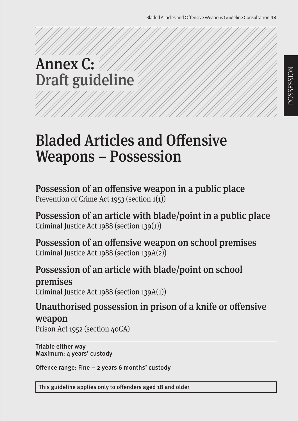# Annex C: Draft guideline

# Bladed Articles and Offensive Weapons – Possession

Possession of an offensive weapon in a public place Prevention of Crime Act 1953 (section 1(1))

Possession of an article with blade/point in a public place Criminal Justice Act 1988 (section 139(1))

Possession of an offensive weapon on school premises Criminal Justice Act 1988 (section 139A(2))

Possession of an article with blade/point on school premises Criminal Justice Act 1988 (section 139A(1))

Unauthorised possession in prison of a knife or offensive weapon Prison Act 1952 (section 40CA)

Triable either way Maximum: 4 years' custody

Offence range: Fine – 2 years 6 months' custody

This guideline applies only to offenders aged 18 and older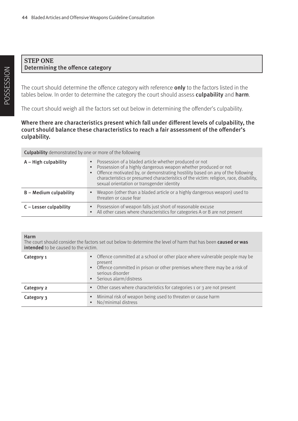The court should determine the offence category with reference only to the factors listed in the tables below. In order to determine the category the court should assess culpability and harm.

The court should weigh all the factors set out below in determining the offender's culpability.

Where there are characteristics present which fall under different levels of culpability, the court should balance these characteristics to reach a fair assessment of the offender's culpability.

| <b>Culpability</b> demonstrated by one or more of the following |                                                                                                                                                                                                                                                                                                                                                                                            |  |  |
|-----------------------------------------------------------------|--------------------------------------------------------------------------------------------------------------------------------------------------------------------------------------------------------------------------------------------------------------------------------------------------------------------------------------------------------------------------------------------|--|--|
| A - High culpability                                            | Possession of a bladed article whether produced or not<br>$\bullet$<br>Possession of a highly dangerous weapon whether produced or not<br>$\bullet$<br>Offence motivated by, or demonstrating hostility based on any of the following<br>$\bullet$<br>characteristics or presumed characteristics of the victim: religion, race, disability,<br>sexual orientation or transgender identity |  |  |
| <b>B</b> – Medium culpability                                   | Weapon (other than a bladed article or a highly dangerous weapon) used to<br>$\bullet$<br>threaten or cause fear                                                                                                                                                                                                                                                                           |  |  |
| C - Lesser culpability                                          | Possession of weapon falls just short of reasonable excuse<br>$\bullet$<br>All other cases where characteristics for categories A or B are not present<br>$\bullet$                                                                                                                                                                                                                        |  |  |

#### Harm

The court should consider the factors set out below to determine the level of harm that has been caused or was intended to be caused to the victim.

| Category 1 |                        | • Offence committed at a school or other place where vulnerable people may be<br>present<br>• Offence committed in prison or other premises where there may be a risk of<br>serious disorder<br>• Serious alarm/distress |
|------------|------------------------|--------------------------------------------------------------------------------------------------------------------------------------------------------------------------------------------------------------------------|
| Category 2 |                        | • Other cases where characteristics for categories 1 or 3 are not present                                                                                                                                                |
| Category 3 | $\bullet$<br>$\bullet$ | Minimal risk of weapon being used to threaten or cause harm<br>No/minimal distress                                                                                                                                       |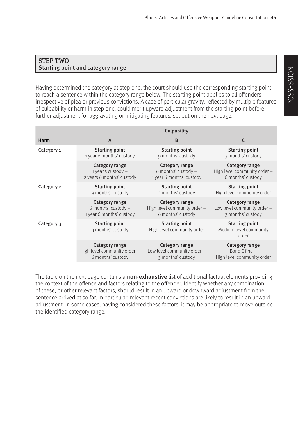# STEP TWO Starting point and category range

Having determined the category at step one, the court should use the corresponding starting point to reach a sentence within the category range below. The starting point applies to all offenders irrespective of plea or previous convictions. A case of particular gravity, reflected by multiple features of culpability or harm in step one, could merit upward adjustment from the starting point before further adjustment for aggravating or mitigating features, set out on the next page.

|            |                                                                          | Culpability                                                                |                                                                            |
|------------|--------------------------------------------------------------------------|----------------------------------------------------------------------------|----------------------------------------------------------------------------|
| Harm       | A                                                                        | B                                                                          | C                                                                          |
| Category 1 | <b>Starting point</b><br>1 year 6 months' custody                        | <b>Starting point</b><br>9 months' custody                                 | <b>Starting point</b><br>3 months' custody                                 |
|            | <b>Category range</b><br>1 year's custody -<br>2 years 6 months' custody | <b>Category range</b><br>6 months' custody -<br>1 year 6 months' custody   | <b>Category range</b><br>High level community order -<br>6 months' custody |
| Category 2 | <b>Starting point</b><br>9 months' custody                               | <b>Starting point</b><br>3 months' custody                                 | <b>Starting point</b><br>High level community order                        |
|            | <b>Category range</b><br>6 months' custody -<br>1 year 6 months' custody | <b>Category range</b><br>High level community order -<br>6 months' custody | <b>Category range</b><br>Low level community order -<br>3 months' custody  |
| Category 3 | <b>Starting point</b><br>3 months' custody                               | <b>Starting point</b><br>High level community order                        | <b>Starting point</b><br>Medium level community<br>order                   |
|            | Category range<br>High level community order -<br>6 months' custody      | Category range<br>Low level community order -<br>3 months' custody         | <b>Category range</b><br>Band C fine $-$<br>High level community order     |

The table on the next page contains a **non-exhaustive** list of additional factual elements providing the context of the offence and factors relating to the offender. Identify whether any combination of these, or other relevant factors, should result in an upward or downward adjustment from the sentence arrived at so far. In particular, relevant recent convictions are likely to result in an upward adjustment. In some cases, having considered these factors, it may be appropriate to move outside the identified category range.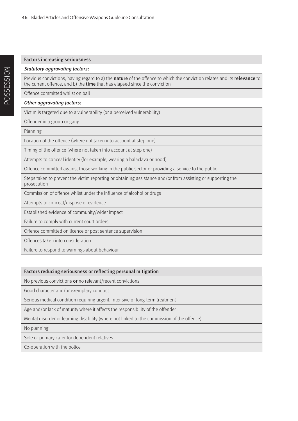#### Factors increasing seriousness

### Statutory aggravating factors:

Previous convictions, having regard to a) the **nature** of the offence to which the conviction relates and its **relevance** to the current offence; and b) the time that has elapsed since the conviction

Offence committed whilst on bail

## Other aggravating factors:

Victim is targeted due to a vulnerability (or a perceived vulnerability)

Offender in a group or gang

Planning

Location of the offence (where not taken into account at step one)

Timing of the offence (where not taken into account at step one)

Attempts to conceal identity (for example, wearing a balaclava or hood)

Offence committed against those working in the public sector or providing a service to the public

Steps taken to prevent the victim reporting or obtaining assistance and/or from assisting or supporting the prosecution

Commission of offence whilst under the influence of alcohol or drugs

Attempts to conceal/dispose of evidence

Established evidence of community/wider impact

Failure to comply with current court orders

Offence committed on licence or post sentence supervision

Offences taken into consideration

Failure to respond to warnings about behaviour

## Factors reducing seriousness or reflecting personal mitigation

No previous convictions or no relevant/recent convictions

Good character and/or exemplary conduct

Serious medical condition requiring urgent, intensive or long-term treatment

Age and/or lack of maturity where it affects the responsibility of the offender

Mental disorder or learning disability (where not linked to the commission of the offence)

No planning

Sole or primary carer for dependent relatives

Co-operation with the police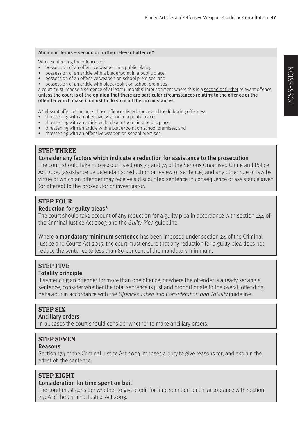## Minimum Terms – second or further relevant offence\*

When sentencing the offences of:

- possession of an offensive weapon in a public place;
- possession of an article with a blade/point in a public place;
- possession of an offensive weapon on school premises; and
- possession of an article with blade/point on school premises

a court must impose a sentence of at least 6 months' imprisonment where this is a second or further relevant offence unless the court is of the opinion that there are particular circumstances relating to the offence or the offender which make it unjust to do so in all the circumstances.

A 'relevant offence' includes those offences listed above and the following offences:

- threatening with an offensive weapon in a public place;
- threatening with an article with a blade/point in a public place;
- threatening with an article with a blade/point on school premises; and
- threatening with an offensive weapon on school premises.

# **STEP THREE**

## Consider any factors which indicate a reduction for assistance to the prosecution

The court should take into account sections 73 and 74 of the Serious Organised Crime and Police Act 2005 (assistance by defendants: reduction or review of sentence) and any other rule of law by virtue of which an offender may receive a discounted sentence in consequence of assistance given (or offered) to the prosecutor or investigator.

# **STEP FOUR**

## Reduction for guilty pleas\*

The court should take account of any reduction for a guilty plea in accordance with section 144 of the Criminal Justice Act 2003 and the Guilty Plea guideline.

Where a **mandatory minimum sentence** has been imposed under section 28 of the Criminal Justice and Courts Act 2015, the court must ensure that any reduction for a guilty plea does not reduce the sentence to less than 80 per cent of the mandatory minimum.

# **STEP FIVE**

## Totality principle

If sentencing an offender for more than one offence, or where the offender is already serving a sentence, consider whether the total sentence is just and proportionate to the overall offending behaviour in accordance with the Offences Taken into Consideration and Totality guideline.

# **STEP SIX**

## Ancillary orders

In all cases the court should consider whether to make ancillary orders.

# **STEP SEVEN**

## Reasons

Section 174 of the Criminal Justice Act 2003 imposes a duty to give reasons for, and explain the effect of, the sentence.

# **STEP EIGHT**

## Consideration for time spent on bail

The court must consider whether to give credit for time spent on bail in accordance with section 240A of the Criminal Justice Act 2003.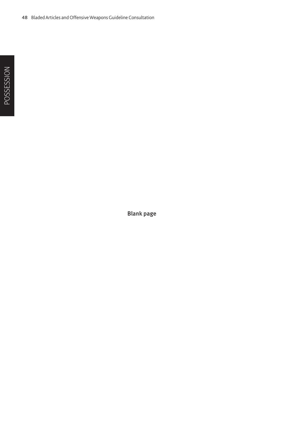Blank page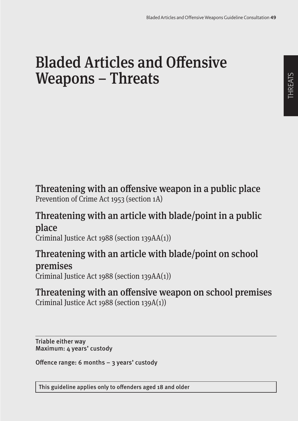# Bladed Articles and Offensive Weapons – Threats

Threatening with an offensive weapon in a public place Prevention of Crime Act 1953 (section 1A)

# Threatening with an article with blade/point in a public place

Criminal Justice Act 1988 (section 139AA(1))

Threatening with an article with blade/point on school premises Criminal Justice Act 1988 (section 139AA(1))

Threatening with an offensive weapon on school premises Criminal Justice Act 1988 (section 139A(1))

Triable either way Maximum: 4 years' custody

Offence range: 6 months – 3 years' custody

This guideline applies only to offenders aged 18 and older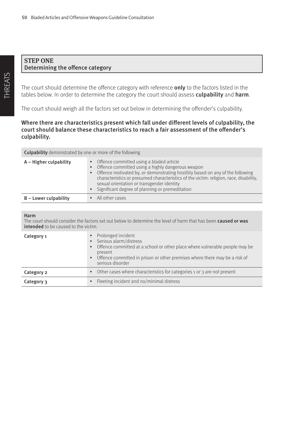# STEP ONE Determining the offence category

The court should determine the offence category with reference only to the factors listed in the tables below. In order to determine the category the court should assess culpability and harm.

The court should weigh all the factors set out below in determining the offender's culpability.

Where there are characteristics present which fall under different levels of culpability, the court should balance these characteristics to reach a fair assessment of the offender's culpability.

| <b>Culpability</b> demonstrated by one or more of the following |           |                                                                                                                                                                                                                                                                                                                                                                                    |  |
|-----------------------------------------------------------------|-----------|------------------------------------------------------------------------------------------------------------------------------------------------------------------------------------------------------------------------------------------------------------------------------------------------------------------------------------------------------------------------------------|--|
| A – Higher culpability                                          |           | • Offence committed using a bladed article<br>• Offence committed using a highly dangerous weapon<br>• Offence motivated by, or demonstrating hostility based on any of the following<br>characteristics or presumed characteristics of the victim: religion, race, disability,<br>sexual orientation or transgender identity<br>• Significant degree of planning or premeditation |  |
| <b>B</b> – Lower culpability                                    | $\bullet$ | All other cases                                                                                                                                                                                                                                                                                                                                                                    |  |

### Harm

The court should consider the factors set out below to determine the level of harm that has been caused or was intended to be caused to the victim.

| Category 1 | $\bullet$ | Prolonged incident<br>• Serious alarm/distress<br>• Offence committed at a school or other place where vulnerable people may be<br>present<br>• Offence committed in prison or other premises where there may be a risk of<br>serious disorder |
|------------|-----------|------------------------------------------------------------------------------------------------------------------------------------------------------------------------------------------------------------------------------------------------|
| Category 2 | $\bullet$ | Other cases where characteristics for categories 1 or 3 are not present                                                                                                                                                                        |
| Category 3 | $\bullet$ | Fleeting incident and no/minimal distress                                                                                                                                                                                                      |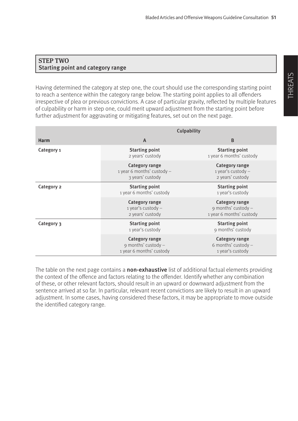# STEP TWO Starting point and category range

Having determined the category at step one, the court should use the corresponding starting point to reach a sentence within the category range below. The starting point applies to all offenders irrespective of plea or previous convictions. A case of particular gravity, reflected by multiple features of culpability or harm in step one, could merit upward adjustment from the starting point before further adjustment for aggravating or mitigating features, set out on the next page.

|            | Culpability                                                                |                                                                     |  |
|------------|----------------------------------------------------------------------------|---------------------------------------------------------------------|--|
| Harm       | A                                                                          | B                                                                   |  |
| Category 1 | <b>Starting point</b><br>2 years' custody                                  | <b>Starting point</b><br>1 year 6 months' custody                   |  |
|            | Category range<br>1 year 6 months' custody -<br>3 years' custody           | Category range<br>$1$ year's custody $-$<br>2 years' custody        |  |
| Category 2 | <b>Starting point</b><br>1 year 6 months' custody                          | <b>Starting point</b><br>1 year's custody                           |  |
|            | Category range<br>1 year's custody -<br>2 years' custody                   | Category range<br>$9$ months' custody -<br>1 year 6 months' custody |  |
| Category 3 | <b>Starting point</b><br>1 year's custody                                  | <b>Starting point</b><br>9 months' custody                          |  |
|            | <b>Category range</b><br>$9$ months' custody -<br>1 year 6 months' custody | <b>Category range</b><br>6 months' custody $-$<br>1 year's custody  |  |

The table on the next page contains a **non-exhaustive** list of additional factual elements providing the context of the offence and factors relating to the offender. Identify whether any combination of these, or other relevant factors, should result in an upward or downward adjustment from the sentence arrived at so far. In particular, relevant recent convictions are likely to result in an upward adjustment. In some cases, having considered these factors, it may be appropriate to move outside the identified category range.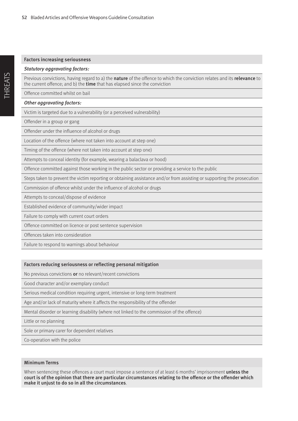#### Factors increasing seriousness

### Statutory aggravating factors:

Previous convictions, having regard to a) the **nature** of the offence to which the conviction relates and its **relevance** to the current offence; and b) the **time** that has elapsed since the conviction

Offence committed whilst on bail

### Other aggravating factors:

Victim is targeted due to a vulnerability (or a perceived vulnerability)

Offender in a group or gang

Offender under the influence of alcohol or drugs

Location of the offence (where not taken into account at step one)

Timing of the offence (where not taken into account at step one)

Attempts to conceal identity (for example, wearing a balaclava or hood)

Offence committed against those working in the public sector or providing a service to the public

Steps taken to prevent the victim reporting or obtaining assistance and/or from assisting or supporting the prosecution

Commission of offence whilst under the influence of alcohol or drugs

Attempts to conceal/dispose of evidence

Established evidence of community/wider impact

Failure to comply with current court orders

Offence committed on licence or post sentence supervision

Offences taken into consideration

Failure to respond to warnings about behaviour

#### Factors reducing seriousness or reflecting personal mitigation

No previous convictions or no relevant/recent convictions

Good character and/or exemplary conduct

Serious medical condition requiring urgent, intensive or long-term treatment

Age and/or lack of maturity where it affects the responsibility of the offender

Mental disorder or learning disability (where not linked to the commission of the offence)

Little or no planning

Sole or primary carer for dependent relatives

Co-operation with the police

## Minimum Terms

When sentencing these offences a court must impose a sentence of at least 6 months' imprisonment unless the court is of the opinion that there are particular circumstances relating to the offence or the offender which make it unjust to do so in all the circumstances.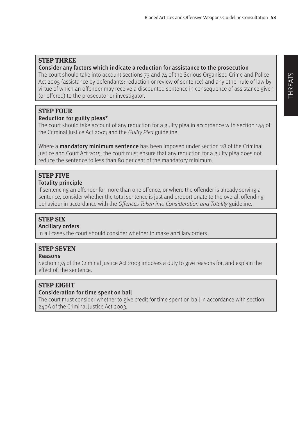# **STEP THREE**

# Consider any factors which indicate a reduction for assistance to the prosecution

The court should take into account sections 73 and 74 of the Serious Organised Crime and Police Act 2005 (assistance by defendants: reduction or review of sentence) and any other rule of law by virtue of which an offender may receive a discounted sentence in consequence of assistance given (or offered) to the prosecutor or investigator.

# **STEP FOUR**

# Reduction for guilty pleas\*

The court should take account of any reduction for a guilty plea in accordance with section 144 of the Criminal Justice Act 2003 and the Guilty Plea guideline.

Where a **mandatory minimum sentence** has been imposed under section 28 of the Criminal Justice and Court Act 2015, the court must ensure that any reduction for a guilty plea does not reduce the sentence to less than 80 per cent of the mandatory minimum.

# **STEP FIVE** Totality principle

If sentencing an offender for more than one offence, or where the offender is already serving a sentence, consider whether the total sentence is just and proportionate to the overall offending behaviour in accordance with the Offences Taken into Consideration and Totality guideline.

# **STEP SIX**

# Ancillary orders

In all cases the court should consider whether to make ancillary orders.

# **STEP SEVEN**

# Reasons

Section 174 of the Criminal Justice Act 2003 imposes a duty to give reasons for, and explain the effect of, the sentence.

# **STEP EIGHT**

# Consideration for time spent on bail

The court must consider whether to give credit for time spent on bail in accordance with section 240A of the Criminal Justice Act 2003.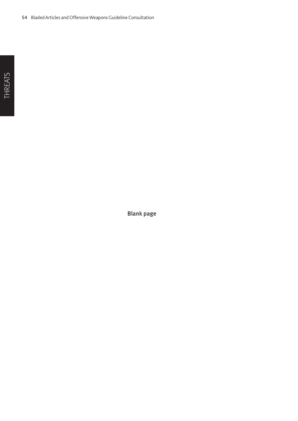Blank page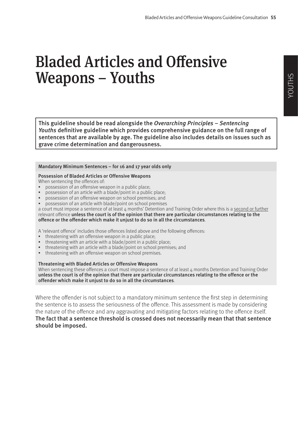# Bladed Articles and Offensive Weapons – Youths

This guideline should be read alongside the Overarching Principles – Sentencing Youths definitive guideline which provides comprehensive guidance on the full range of sentences that are available by age. The guideline also includes details on issues such as grave crime determination and dangerousness.

### Mandatory Minimum Sentences – for 16 and 17 year olds only

### Possession of Bladed Articles or Offensive Weapons

When sentencing the offences of:

- possession of an offensive weapon in a public place;
- possession of an article with a blade/point in a public place;
- possession of an offensive weapon on school premises; and
- possession of an article with blade/point on school premises

a court must impose a sentence of at least 4 months' Detention and Training Order where this is a second or further relevant offence unless the court is of the opinion that there are particular circumstances relating to the offence or the offender which make it unjust to do so in all the circumstances.

A 'relevant offence' includes those offences listed above and the following offences:

- threatening with an offensive weapon in a public place;
- threatening with an article with a blade/point in a public place;
- threatening with an article with a blade/point on school premises; and
- threatening with an offensive weapon on school premises.

### Threatening with Bladed Articles or Offensive Weapons

When sentencing these offences a court must impose a sentence of at least  $4$  months Detention and Training Order unless the court is of the opinion that there are particular circumstances relating to the offence or the offender which make it unjust to do so in all the circumstances.

Where the offender is not subject to a mandatory minimum sentence the first step in determining the sentence is to assess the seriousness of the offence. This assessment is made by considering the nature of the offence and any aggravating and mitigating factors relating to the offence itself. The fact that a sentence threshold is crossed does not necessarily mean that that sentence should be imposed.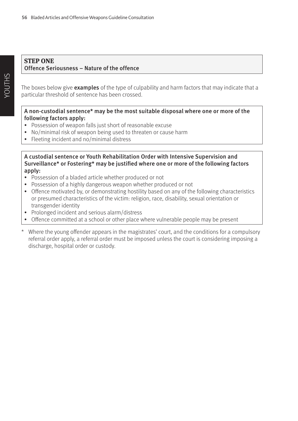The boxes below give **examples** of the type of culpability and harm factors that may indicate that a particular threshold of sentence has been crossed.

## A non-custodial sentence\* may be the most suitable disposal where one or more of the following factors apply:

- Possession of weapon falls just short of reasonable excuse
- No/minimal risk of weapon being used to threaten or cause harm
- Fleeting incident and no/minimal distress

## A custodial sentence or Youth Rehabilitation Order with Intensive Supervision and Surveillance\* or Fostering\* may be justified where one or more of the following factors apply:

- Possession of a bladed article whether produced or not
- Possession of a highly dangerous weapon whether produced or not
- Offence motivated by, or demonstrating hostility based on any of the following characteristics or presumed characteristics of the victim: religion, race, disability, sexual orientation or transgender identity
- Prolonged incident and serious alarm/distress
- Offence committed at a school or other place where vulnerable people may be present
- \* Where the young offender appears in the magistrates' court, and the conditions for a compulsory referral order apply, a referral order must be imposed unless the court is considering imposing a discharge, hospital order or custody.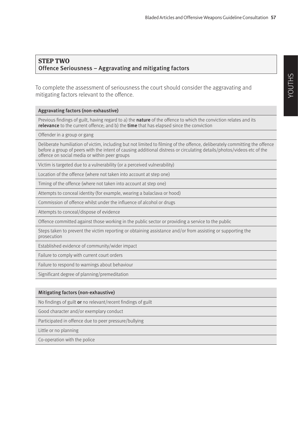# **STEP TWO** Offence Seriousness – Aggravating and mitigating factors

To complete the assessment of seriousness the court should consider the aggravating and mitigating factors relevant to the offence.

## Aggravating factors (non-exhaustive)

Previous findings of guilt, having regard to a) the **nature** of the offence to which the conviction relates and its relevance to the current offence; and b) the time that has elapsed since the conviction

Offender in a group or gang

Deliberate humiliation of victim, including but not limited to filming of the offence, deliberately committing the offence before a group of peers with the intent of causing additional distress or circulating details/photos/videos etc of the offence on social media or within peer groups

Victim is targeted due to a vulnerability (or a perceived vulnerability)

Location of the offence (where not taken into account at step one)

Timing of the offence (where not taken into account at step one)

Attempts to conceal identity (for example, wearing a balaclava or hood)

Commission of offence whilst under the influence of alcohol or drugs

Attempts to conceal/dispose of evidence

Offence committed against those working in the public sector or providing a service to the public

Steps taken to prevent the victim reporting or obtaining assistance and/or from assisting or supporting the prosecution

Established evidence of community/wider impact

Failure to comply with current court orders

Failure to respond to warnings about behaviour

Significant degree of planning/premeditation

### Mitigating factors (non-exhaustive)

No findings of guilt or no relevant/recent findings of guilt

Good character and/or exemplary conduct

Participated in offence due to peer pressure/bullying

Little or no planning

Co-operation with the police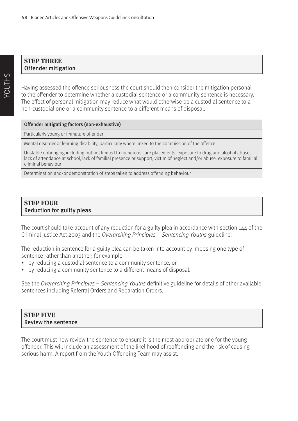# **STEP THREE** Offender mitigation

Having assessed the offence seriousness the court should then consider the mitigation personal to the offender to determine whether a custodial sentence or a community sentence is necessary. The effect of personal mitigation may reduce what would otherwise be a custodial sentence to a non-custodial one or a community sentence to a different means of disposal.

## Offender mitigating factors (non-exhaustive)

Particularly young or immature offender

Mental disorder or learning disability, particularly where linked to the commission of the offence

Unstable upbringing including but not limited to numerous care placements, exposure to drug and alcohol abuse, lack of attendance at school, lack of familial presence or support, victim of neglect and/or abuse, exposure to familial criminal behaviour

Determination and/or demonstration of steps taken to address offending behaviour

# **STEP FOUR** Reduction for guilty pleas

The court should take account of any reduction for a guilty plea in accordance with section 144 of the Criminal Justice Act 2003 and the Overarching Principles – Sentencing Youths guideline.

The reduction in sentence for a guilty plea can be taken into account by imposing one type of sentence rather than another; for example:

- by reducing a custodial sentence to a community sentence, or
- by reducing a community sentence to a different means of disposal.

See the Overarching Principles – Sentencing Youths definitive guideline for details of other available sentences including Referral Orders and Reparation Orders.

## **STEP FIVE** Review the sentence

The court must now review the sentence to ensure it is the most appropriate one for the young offender. This will include an assessment of the likelihood of reoffending and the risk of causing serious harm. A report from the Youth Offending Team may assist.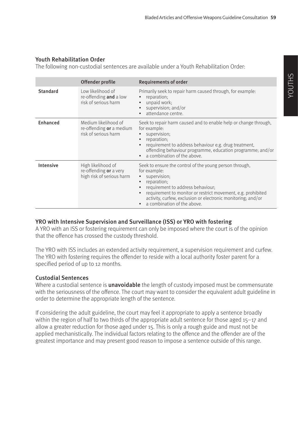# Youth Rehabilitation Order

The following non-custodial sentences are available under a Youth Rehabilitation Order:

|                 | Offender profile                                                          | <b>Requirements of order</b>                                                                                                                                                                                                                                                                                                                                   |
|-----------------|---------------------------------------------------------------------------|----------------------------------------------------------------------------------------------------------------------------------------------------------------------------------------------------------------------------------------------------------------------------------------------------------------------------------------------------------------|
| <b>Standard</b> | Low likelihood of<br>re-offending and a low<br>risk of serious harm       | Primarily seek to repair harm caused through, for example:<br>reparation;<br>unpaid work;<br>$\bullet$<br>supervision; and/or<br>attendance centre.                                                                                                                                                                                                            |
| Enhanced        | Medium likelihood of<br>re-offending or a medium<br>risk of serious harm  | Seek to repair harm caused and to enable help or change through,<br>for example:<br>supervision;<br>reparation;<br>$\bullet$<br>requirement to address behaviour e.g. drug treatment,<br>offending behaviour programme, education programme; and/or<br>a combination of the above.                                                                             |
| Intensive       | High likelihood of<br>re-offending or a very<br>high risk of serious harm | Seek to ensure the control of the young person through,<br>for example:<br>supervision;<br>$\bullet$<br>reparation;<br>$\bullet$<br>requirement to address behaviour;<br>$\bullet$<br>requirement to monitor or restrict movement, e.g. prohibited<br>$\bullet$<br>activity, curfew, exclusion or electronic monitoring; and/or<br>a combination of the above. |

# YRO with Intensive Supervision and Surveillance (ISS) or YRO with fostering

A YRO with an ISS or fostering requirement can only be imposed where the court is of the opinion that the offence has crossed the custody threshold.

The YRO with ISS includes an extended activity requirement, a supervision requirement and curfew. The YRO with fostering requires the offender to reside with a local authority foster parent for a specified period of up to 12 months.

# Custodial Sentences

Where a custodial sentence is **unavoidable** the length of custody imposed must be commensurate with the seriousness of the offence. The court may want to consider the equivalent adult guideline in order to determine the appropriate length of the sentence.

If considering the adult guideline, the court may feel it appropriate to apply a sentence broadly within the region of half to two thirds of the appropriate adult sentence for those aged 15–17 and allow a greater reduction for those aged under 15. This is only a rough guide and must not be applied mechanistically. The individual factors relating to the offence and the offender are of the greatest importance and may present good reason to impose a sentence outside of this range.